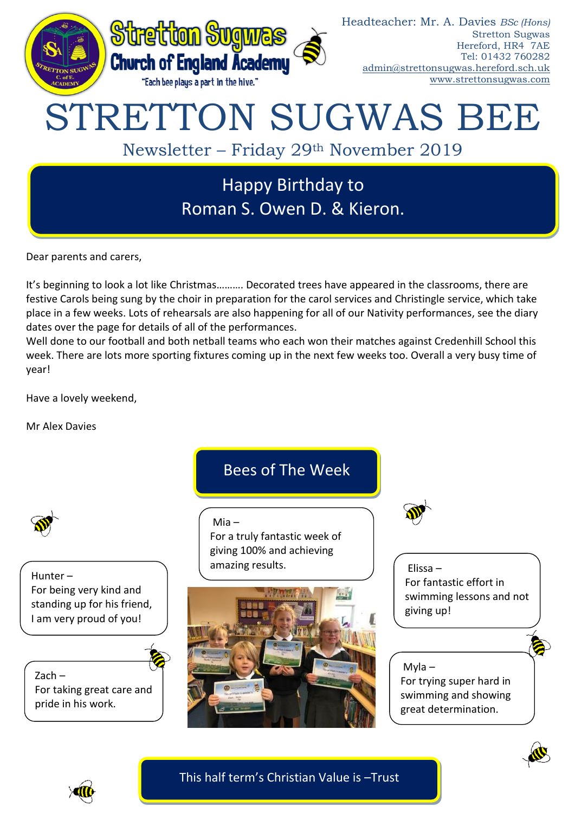

Dear parents and carers,

It's beginning to look a lot like Christmas………. Decorated trees have appeared in the classrooms, there are festive Carols being sung by the choir in preparation for the carol services and Christingle service, which take place in a few weeks. Lots of rehearsals are also happening for all of our Nativity performances, see the diary dates over the page for details of all of the performances.

Well done to our football and both netball teams who each won their matches against Credenhill School this week. There are lots more sporting fixtures coming up in the next few weeks too. Overall a very busy time of year!

Have a lovely weekend,

Mr Alex Davies



Hunter – For being very kind and standing up for his friend, I am very proud of you!

 $2ach -$ For taking great care and pride in his work.

# Bees of The Week

Mia –

For a truly fantastic week of giving 100% and achieving amazing results.





Elissa – For fantastic effort in swimming lessons and not giving up!

### Myla –

For trying super hard in swimming and showing great determination.